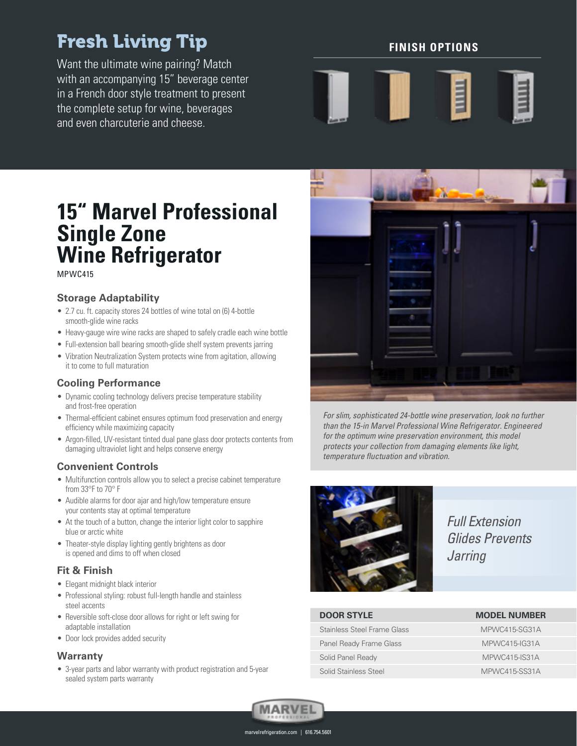# Fresh Living Tip

Want the ultimate wine pairing? Match with an accompanying 15" beverage center in a French door style treatment to present the complete setup for wine, beverages and even charcuterie and cheese.

# **FINISH OPTIONS**



# **15" Marvel Professional Single Zone Wine Refrigerator**

MPWC415

# **Storage Adaptability**

- 2.7 cu. ft. capacity stores 24 bottles of wine total on (6) 4-bottle smooth-glide wine racks
- Heavy-gauge wire wine racks are shaped to safely cradle each wine bottle
- Full-extension ball bearing smooth-glide shelf system prevents jarring
- Vibration Neutralization System protects wine from agitation, allowing it to come to full maturation

# **Cooling Performance**

- Dynamic cooling technology delivers precise temperature stability and frost-free operation
- Thermal-efficient cabinet ensures optimum food preservation and energy efficiency while maximizing capacity
- Argon-filled, UV-resistant tinted dual pane glass door protects contents from damaging ultraviolet light and helps conserve energy

### **Convenient Controls**

- Multifunction controls allow you to select a precise cabinet temperature from 33°F to 70° F
- Audible alarms for door ajar and high/low temperature ensure your contents stay at optimal temperature
- At the touch of a button, change the interior light color to sapphire blue or arctic white
- Theater-style display lighting gently brightens as door is opened and dims to off when closed

# **Fit & Finish**

- Elegant midnight black interior
- Professional styling: robust full-length handle and stainless steel accents
- Reversible soft-close door allows for right or left swing for adaptable installation
- Door lock provides added security

#### **Warranty**

• 3-year parts and labor warranty with product registration and 5-year sealed system parts warranty



For slim, sophisticated 24-bottle wine preservation, look no further than the 15-in Marvel Professional Wine Refrigerator. Engineered for the optimum wine preservation environment, this model protects your collection from damaging elements like light, temperature fluctuation and vibration.



Full Extension Glides Prevents *Jarring* 

# **DOOR STYLE MODEL NUMBER**

Stainless Steel Frame Glass MEXIC MPWC415-SG31A Panel Ready Frame Glass MPWC415-IG31A Solid Panel Ready MPWC415-IS31A Solid Stainless Steel MPWC415-SS31A